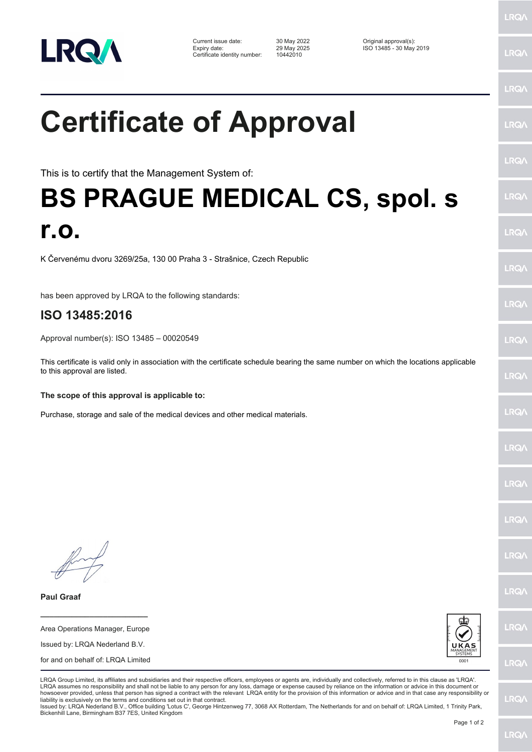

Current issue date: 30 May 2022 Original approval(s): Expiry date: 29 May 2025 ISO 13485 - 30 May 2019 Certificate identity number: 10442010

## **Certificate of Approval**

This is to certify that the Management System of:

## **BS PRAGUE MEDICAL CS, spol. s r.o.**

K Červenému dvoru 3269/25a, 130 00 Praha 3 - Strašnice, Czech Republic

has been approved by LRQA to the following standards:

## **ISO 13485:2016**

Approval number(s): ISO 13485 – 00020549

This certificate is valid only in association with the certificate schedule bearing the same number on which the locations applicable to this approval are listed.

## **The scope of this approval is applicable to:**

Purchase, storage and sale of the medical devices and other medical materials.

**Paul Graaf**

Area Operations Manager, Europe Issued by: LRQA Nederland B.V. for and on behalf of: LRQA Limited

**\_\_\_\_\_\_\_\_\_\_\_\_\_\_\_\_\_\_\_\_\_\_\_\_**



LRQA Group Limited, its affiliates and subsidiaries and their respective officers, employees or agents are, individually and collectively, referred to in this clause as 'LRQA'. LRQA assumes no responsibility and shall not be liable to any person for any loss, damage or expense caused by reliance on the information or advice in this document or howsoever provided, unless that person has signed a contract with the relevant LRQA entity for the provision of this information or advice and in that case any responsibility or liability is exclusively on the terms and conditions set out in that contract.

Issued by: LRQA Nederland B.V., Office building 'Lotus C', George Hintzenweg 77, 3068 AX Rotterdam, The Netherlands for and on behalf of: LRQA Limited, 1 Trinity Park, Bickenhill Lane, Birmingham B37 7ES, United Kingdom

LRQ/

LRQ/

LRQ/

LRQ/

LRQ/

**LRQ/** 

LRQ/

LRQ/

**LRQA** 

LRQ/

LRQ/

LRQ/

**LRQ/** 

**LRQ/** 

LRQ/

LRQ/

LRQ/

LRQ/

**LRQ/** 

LRQ/